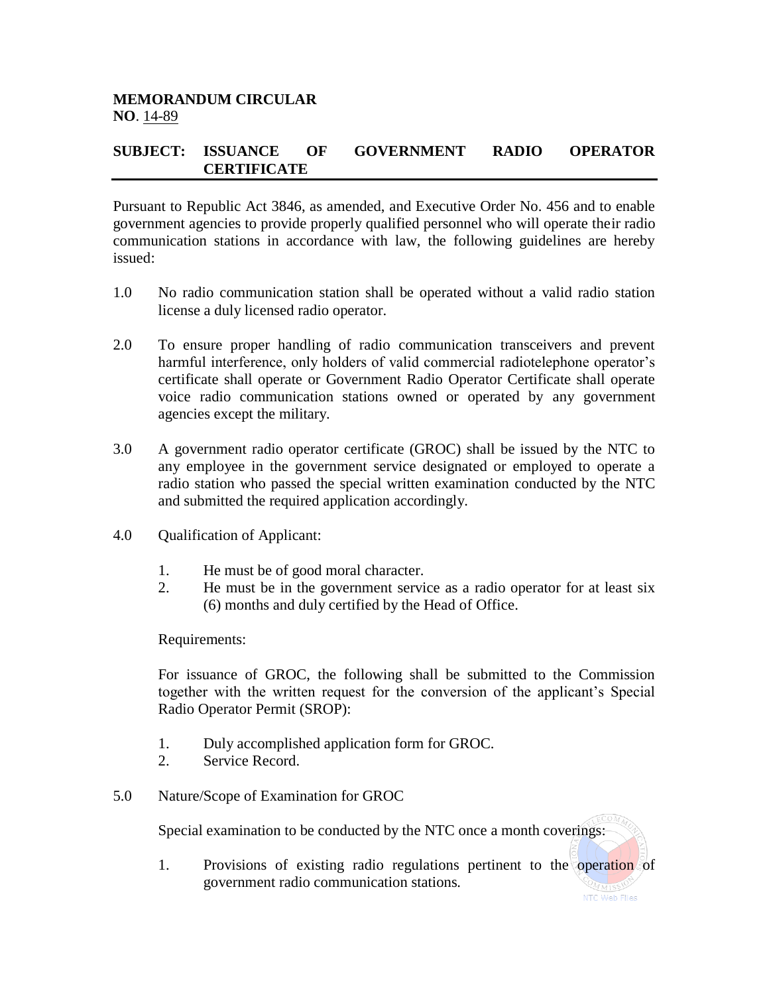## **SUBJECT: ISSUANCE OF GOVERNMENT RADIO OPERATOR CERTIFICATE**

Pursuant to Republic Act 3846, as amended, and Executive Order No. 456 and to enable government agencies to provide properly qualified personnel who will operate their radio communication stations in accordance with law, the following guidelines are hereby issued:

- 1.0 No radio communication station shall be operated without a valid radio station license a duly licensed radio operator.
- 2.0 To ensure proper handling of radio communication transceivers and prevent harmful interference, only holders of valid commercial radiotelephone operator's certificate shall operate or Government Radio Operator Certificate shall operate voice radio communication stations owned or operated by any government agencies except the military.
- 3.0 A government radio operator certificate (GROC) shall be issued by the NTC to any employee in the government service designated or employed to operate a radio station who passed the special written examination conducted by the NTC and submitted the required application accordingly.
- 4.0 Qualification of Applicant:
	- 1. He must be of good moral character.
	- 2. He must be in the government service as a radio operator for at least six (6) months and duly certified by the Head of Office.

Requirements:

For issuance of GROC, the following shall be submitted to the Commission together with the written request for the conversion of the applicant's Special Radio Operator Permit (SROP):

- 1. Duly accomplished application form for GROC.
- 2. Service Record.
- 5.0 Nature/Scope of Examination for GROC

Special examination to be conducted by the NTC once a month coverings:

1. Provisions of existing radio regulations pertinent to the operation of government radio communication stations.